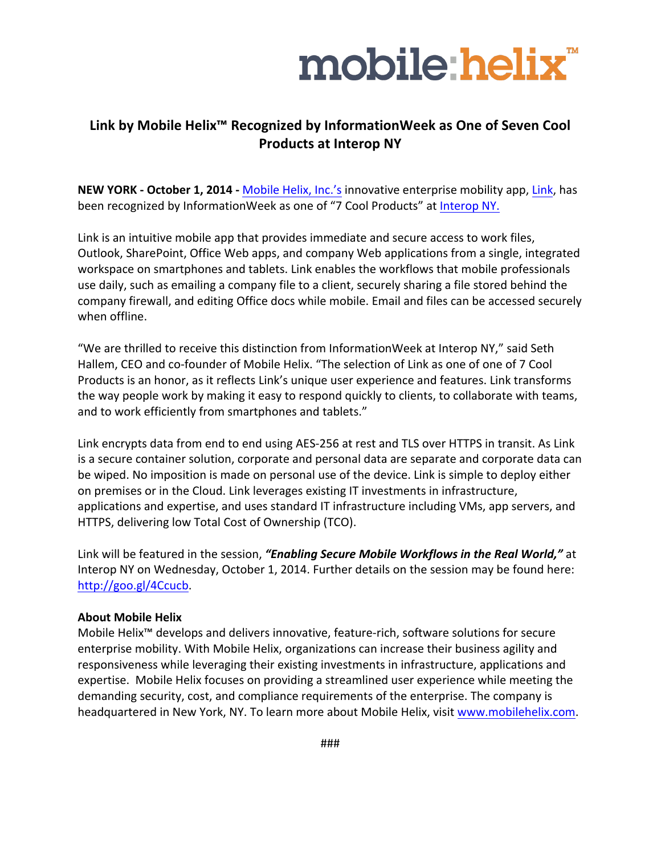

## **Link by Mobile Helix<sup>™</sup> Recognized by InformationWeek as One of Seven Cool Products at Interop NY**

**NEW YORK - October 1, 2014 - Mobile Helix, Inc.'s innovative enterprise mobility app, Link, has** been recognized by InformationWeek as one of "7 Cool Products" at Interop NY.

Link is an intuitive mobile app that provides immediate and secure access to work files, Outlook, SharePoint, Office Web apps, and company Web applications from a single, integrated workspace on smartphones and tablets. Link enables the workflows that mobile professionals use daily, such as emailing a company file to a client, securely sharing a file stored behind the company firewall, and editing Office docs while mobile. Email and files can be accessed securely when offline.

"We are thrilled to receive this distinction from InformationWeek at Interop NY," said Seth Hallem, CEO and co-founder of Mobile Helix. "The selection of Link as one of one of 7 Cool Products is an honor, as it reflects Link's unique user experience and features. Link transforms the way people work by making it easy to respond quickly to clients, to collaborate with teams, and to work efficiently from smartphones and tablets."

Link encrypts data from end to end using AES-256 at rest and TLS over HTTPS in transit. As Link is a secure container solution, corporate and personal data are separate and corporate data can be wiped. No imposition is made on personal use of the device. Link is simple to deploy either on premises or in the Cloud. Link leverages existing IT investments in infrastructure, applications and expertise, and uses standard IT infrastructure including VMs, app servers, and HTTPS, delivering low Total Cost of Ownership (TCO).

Link will be featured in the session, "Enabling Secure Mobile Workflows in the Real World," at Interop NY on Wednesday, October 1, 2014. Further details on the session may be found here: http://goo.gl/4Ccucb.

## **About Mobile Helix**

Mobile Helix™ develops and delivers innovative, feature-rich, software solutions for secure enterprise mobility. With Mobile Helix, organizations can increase their business agility and responsiveness while leveraging their existing investments in infrastructure, applications and expertise. Mobile Helix focuses on providing a streamlined user experience while meeting the demanding security, cost, and compliance requirements of the enterprise. The company is headquartered in New York, NY. To learn more about Mobile Helix, visit www.mobilehelix.com.